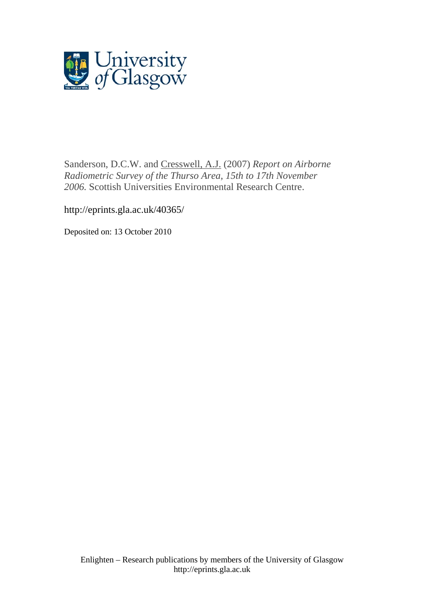

Sanderson, D.C.W. and [Cresswell, A.J.](http://eprints.gla.ac.uk/view/author/1615.html) (2007) *Report on Airborne Radiometric Survey of the Thurso Area, 15th to 17th November 2006.* Scottish Universities Environmental Research Centre.

http://eprints.gla.ac.uk/40365/

Deposited on: 13 October 2010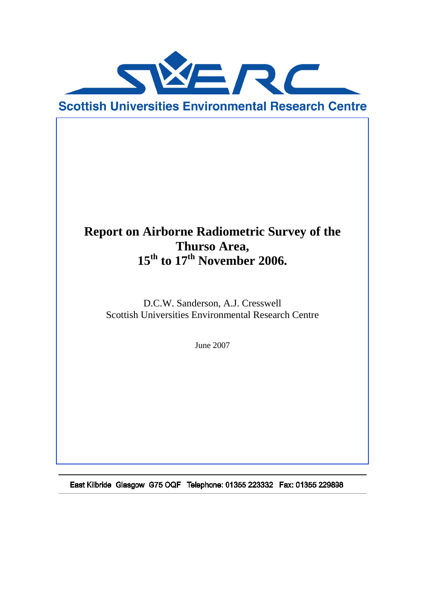

# **Report on Airborne Radiometric Survey of the Thurso Area, 15th to 17th November 2006.**

D.C.W. Sanderson, A.J. Cresswell Scottish Universities Environmental Research Centre

June 2007

East Kilbride Glasgow G75 OQF Telephone: 01355 223332 Fax: 01355 229898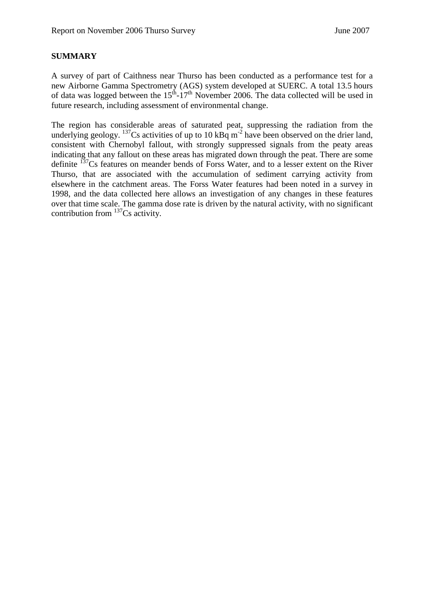#### **SUMMARY**

A survey of part of Caithness near Thurso has been conducted as a performance test for a new Airborne Gamma Spectrometry (AGS) system developed at SUERC. A total 13.5 hours of data was logged between the  $15<sup>th</sup>$ -17<sup>th</sup> November 2006. The data collected will be used in future research, including assessment of environmental change.

The region has considerable areas of saturated peat, suppressing the radiation from the underlying geology.  $^{137}$ Cs activities of up to 10 kBq m<sup>-2</sup> have been observed on the drier land, consistent with Chernobyl fallout, with strongly suppressed signals from the peaty areas indicating that any fallout on these areas has migrated down through the peat. There are some definite <sup>137</sup>Cs features on meander bends of Forss Water, and to a lesser extent on the River Thurso, that are associated with the accumulation of sediment carrying activity from elsewhere in the catchment areas. The Forss Water features had been noted in a survey in 1998, and the data collected here allows an investigation of any changes in these features over that time scale. The gamma dose rate is driven by the natural activity, with no significant contribution from  $^{137}Cs$  activity.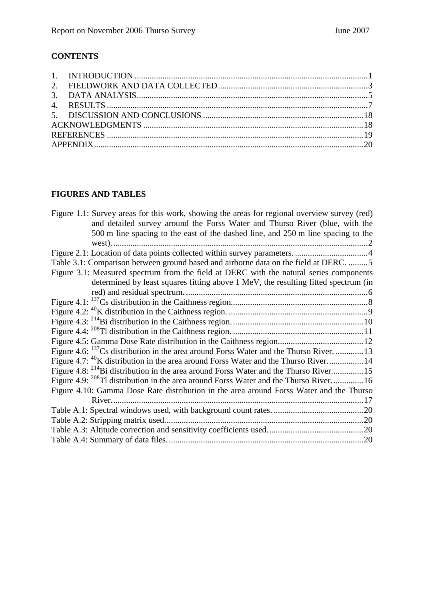# **CONTENTS**

| 1. INTRODUCTION $\ldots$ $\ldots$ $\ldots$ $\ldots$ $\ldots$ $\ldots$ $\ldots$ $\ldots$ $\ldots$ $\ldots$ $\ldots$ $\ldots$ $\ldots$ $\ldots$ $\ldots$ $\ldots$ |  |  |
|-----------------------------------------------------------------------------------------------------------------------------------------------------------------|--|--|
|                                                                                                                                                                 |  |  |
|                                                                                                                                                                 |  |  |
|                                                                                                                                                                 |  |  |
|                                                                                                                                                                 |  |  |
|                                                                                                                                                                 |  |  |
|                                                                                                                                                                 |  |  |
|                                                                                                                                                                 |  |  |

# **FIGURES AND TABLES**

| Figure 1.1: Survey areas for this work, showing the areas for regional overview survey (red)<br>and detailed survey around the Forss Water and Thurso River (blue, with the |
|-----------------------------------------------------------------------------------------------------------------------------------------------------------------------------|
| 500 m line spacing to the east of the dashed line, and 250 m line spacing to the                                                                                            |
| west).                                                                                                                                                                      |
|                                                                                                                                                                             |
| Table 3.1: Comparison between ground based and airborne data on the field at DERC. 5                                                                                        |
| Figure 3.1: Measured spectrum from the field at DERC with the natural series components                                                                                     |
| determined by least squares fitting above 1 MeV, the resulting fitted spectrum (in                                                                                          |
|                                                                                                                                                                             |
|                                                                                                                                                                             |
|                                                                                                                                                                             |
|                                                                                                                                                                             |
|                                                                                                                                                                             |
|                                                                                                                                                                             |
| Figure 4.6: <sup>137</sup> Cs distribution in the area around Forss Water and the Thurso River.  13                                                                         |
| Figure 4.7: <sup>40</sup> K distribution in the area around Forss Water and the Thurso River 14                                                                             |
| Figure 4.8: <sup>214</sup> Bi distribution in the area around Forss Water and the Thurso River15                                                                            |
| Figure 4.9: <sup>208</sup> Tl distribution in the area around Forss Water and the Thurso River16                                                                            |
| Figure 4.10: Gamma Dose Rate distribution in the area around Forss Water and the Thurso                                                                                     |
| River                                                                                                                                                                       |
|                                                                                                                                                                             |
|                                                                                                                                                                             |
|                                                                                                                                                                             |
|                                                                                                                                                                             |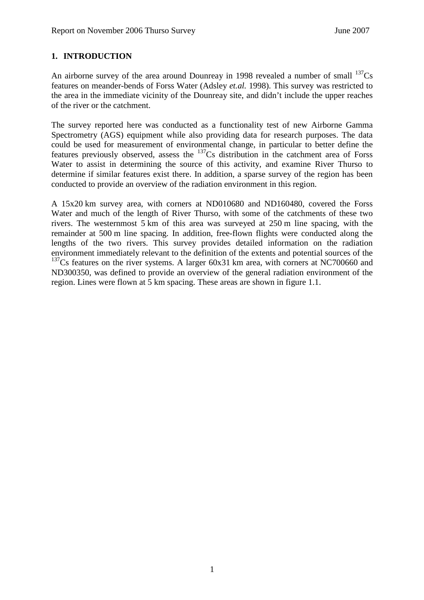### **1. INTRODUCTION**

An airborne survey of the area around Dounreay in 1998 revealed a number of small  $^{137}Cs$ features on meander-bends of Forss Water (Adsley *et.al.* 1998). This survey was restricted to the area in the immediate vicinity of the Dounreay site, and didn't include the upper reaches of the river or the catchment.

The survey reported here was conducted as a functionality test of new Airborne Gamma Spectrometry (AGS) equipment while also providing data for research purposes. The data could be used for measurement of environmental change, in particular to better define the features previously observed, assess the <sup>137</sup>Cs distribution in the catchment area of Forss Water to assist in determining the source of this activity, and examine River Thurso to determine if similar features exist there. In addition, a sparse survey of the region has been conducted to provide an overview of the radiation environment in this region.

A 15x20 km survey area, with corners at ND010680 and ND160480, covered the Forss Water and much of the length of River Thurso, with some of the catchments of these two rivers. The westernmost 5 km of this area was surveyed at 250 m line spacing, with the remainder at 500 m line spacing. In addition, free-flown flights were conducted along the lengths of the two rivers. This survey provides detailed information on the radiation environment immediately relevant to the definition of the extents and potential sources of the  $137$ Cs features on the river systems. A larger 60x31 km area, with corners at NC700660 and ND300350, was defined to provide an overview of the general radiation environment of the region. Lines were flown at 5 km spacing. These areas are shown in figure 1.1.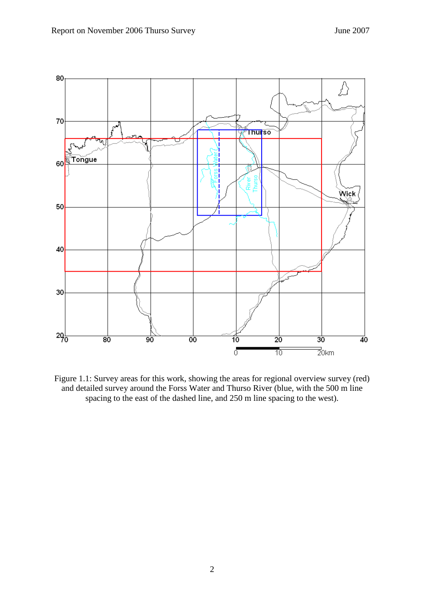

Figure 1.1: Survey areas for this work, showing the areas for regional overview survey (red) and detailed survey around the Forss Water and Thurso River (blue, with the 500 m line spacing to the east of the dashed line, and 250 m line spacing to the west).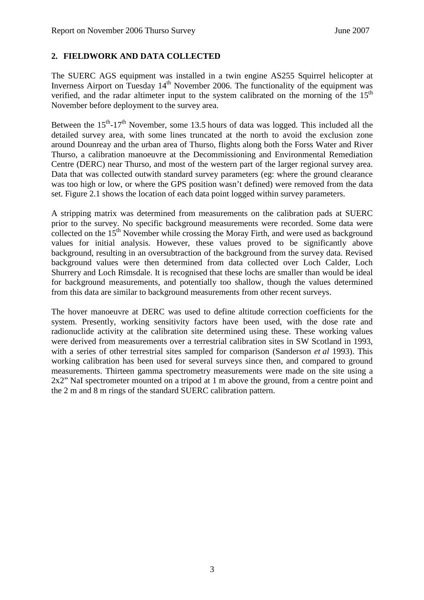## **2. FIELDWORK AND DATA COLLECTED**

The SUERC AGS equipment was installed in a twin engine AS255 Squirrel helicopter at Inverness Airport on Tuesday  $14<sup>th</sup>$  November 2006. The functionality of the equipment was verified, and the radar altimeter input to the system calibrated on the morning of the  $15<sup>th</sup>$ November before deployment to the survey area.

Between the  $15<sup>th</sup>$ -17<sup>th</sup> November, some 13.5 hours of data was logged. This included all the detailed survey area, with some lines truncated at the north to avoid the exclusion zone around Dounreay and the urban area of Thurso, flights along both the Forss Water and River Thurso, a calibration manoeuvre at the Decommissioning and Environmental Remediation Centre (DERC) near Thurso, and most of the western part of the larger regional survey area. Data that was collected outwith standard survey parameters (eg: where the ground clearance was too high or low, or where the GPS position wasn't defined) were removed from the data set. Figure 2.1 shows the location of each data point logged within survey parameters.

A stripping matrix was determined from measurements on the calibration pads at SUERC prior to the survey. No specific background measurements were recorded. Some data were collected on the  $15<sup>th</sup>$  November while crossing the Moray Firth, and were used as background values for initial analysis. However, these values proved to be significantly above background, resulting in an oversubtraction of the background from the survey data. Revised background values were then determined from data collected over Loch Calder, Loch Shurrery and Loch Rimsdale. It is recognised that these lochs are smaller than would be ideal for background measurements, and potentially too shallow, though the values determined from this data are similar to background measurements from other recent surveys.

The hover manoeuvre at DERC was used to define altitude correction coefficients for the system. Presently, working sensitivity factors have been used, with the dose rate and radionuclide activity at the calibration site determined using these. These working values were derived from measurements over a terrestrial calibration sites in SW Scotland in 1993, with a series of other terrestrial sites sampled for comparison (Sanderson *et al* 1993). This working calibration has been used for several surveys since then, and compared to ground measurements. Thirteen gamma spectrometry measurements were made on the site using a 2x2" NaI spectrometer mounted on a tripod at 1 m above the ground, from a centre point and the 2 m and 8 m rings of the standard SUERC calibration pattern.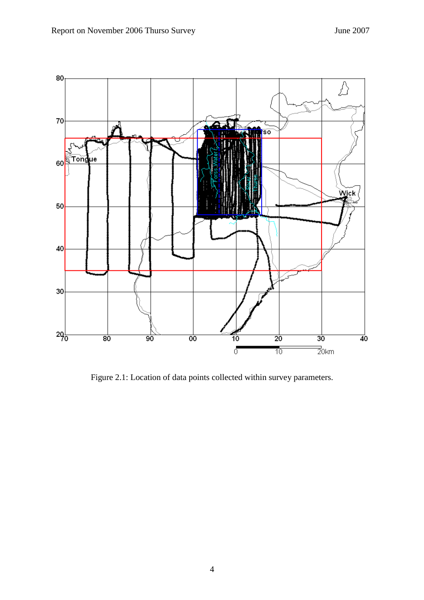

Figure 2.1: Location of data points collected within survey parameters.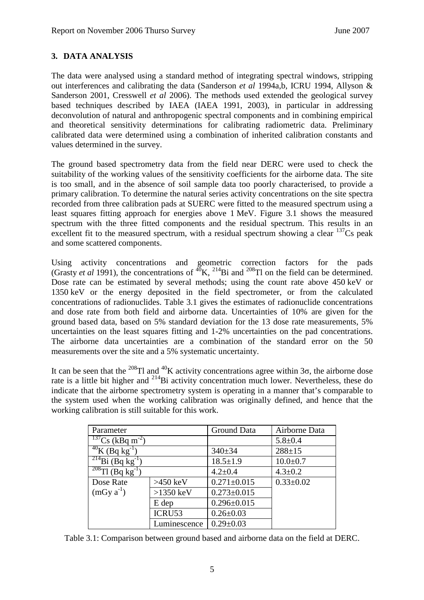## **3. DATA ANALYSIS**

The data were analysed using a standard method of integrating spectral windows, stripping out interferences and calibrating the data (Sanderson *et al* 1994a,b, ICRU 1994, Allyson & Sanderson 2001, Cresswell *et al* 2006). The methods used extended the geological survey based techniques described by IAEA (IAEA 1991, 2003), in particular in addressing deconvolution of natural and anthropogenic spectral components and in combining empirical and theoretical sensitivity determinations for calibrating radiometric data. Preliminary calibrated data were determined using a combination of inherited calibration constants and values determined in the survey.

The ground based spectrometry data from the field near DERC were used to check the suitability of the working values of the sensitivity coefficients for the airborne data. The site is too small, and in the absence of soil sample data too poorly characterised, to provide a primary calibration. To determine the natural series activity concentrations on the site spectra recorded from three calibration pads at SUERC were fitted to the measured spectrum using a least squares fitting approach for energies above 1 MeV. Figure 3.1 shows the measured spectrum with the three fitted components and the residual spectrum. This results in an excellent fit to the measured spectrum, with a residual spectrum showing a clear  $137Cs$  peak and some scattered components.

Using activity concentrations and geometric correction factors for the pads (Grasty *et al* 1991), the concentrations of <sup>40</sup>K, <sup>214</sup>Bi and <sup>208</sup>Tl on the field can be determined. Dose rate can be estimated by several methods; using the count rate above 450 keV or 1350 keV or the energy deposited in the field spectrometer, or from the calculated concentrations of radionuclides. Table 3.1 gives the estimates of radionuclide concentrations and dose rate from both field and airborne data. Uncertainties of 10% are given for the ground based data, based on 5% standard deviation for the 13 dose rate measurements, 5% uncertainties on the least squares fitting and 1-2% uncertainties on the pad concentrations. The airborne data uncertainties are a combination of the standard error on the 50 measurements over the site and a 5% systematic uncertainty.

It can be seen that the <sup>208</sup>Tl and <sup>40</sup>K activity concentrations agree within 3 $\sigma$ , the airborne dose rate is a little bit higher and <sup>214</sup>Bi activity concentration much lower. Nevertheless, these do indicate that the airborne spectrometry system is operating in a manner that's comparable to the system used when the working calibration was originally defined, and hence that the working calibration is still suitable for this work.

| Parameter                                      |              | Ground Data       | Airborne Data   |
|------------------------------------------------|--------------|-------------------|-----------------|
| $\frac{137}{\text{Cs}}$ (kBq m <sup>-2</sup> ) |              |                   | $5.8 \pm 0.4$   |
| $^{40}$ K (Bq kg <sup>-1</sup> )               |              | $340 \pm 34$      | $288 + 15$      |
| $214$ Bi (Bq kg <sup>-1</sup> )                |              | $18.5 \pm 1.9$    | $10.0 + 0.7$    |
| $\frac{208}{\text{T1}}$ (Bq kg <sup>-1</sup> ) |              | $4.2 \pm 0.4$     | $4.3 \pm 0.2$   |
| Dose Rate                                      | $>450$ keV   | $0.271 \pm 0.015$ | $0.33 \pm 0.02$ |
| $(mGy a^{-1})$                                 | $>1350$ keV  | $0.273 \pm 0.015$ |                 |
|                                                | E dep        | $0.296 \pm 0.015$ |                 |
|                                                | ICRU53       | $0.26 \pm 0.03$   |                 |
|                                                | Luminescence | $0.29 \pm 0.03$   |                 |

Table 3.1: Comparison between ground based and airborne data on the field at DERC.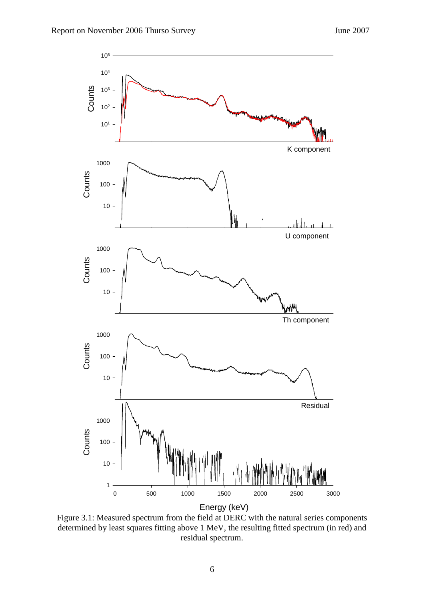

Figure 3.1: Measured spectrum from the field at DERC with the natural series components determined by least squares fitting above 1 MeV, the resulting fitted spectrum (in red) and residual spectrum.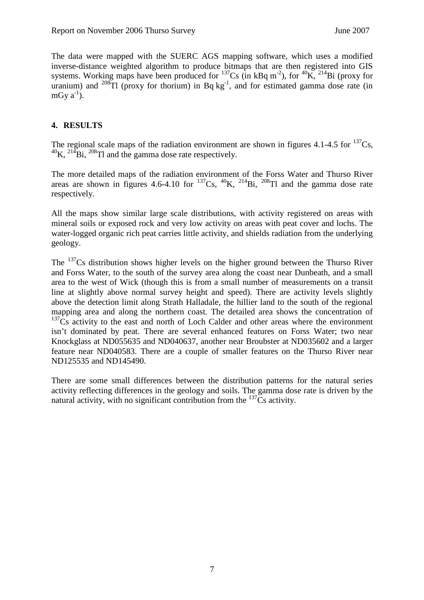The data were mapped with the SUERC AGS mapping software, which uses a modified inverse-distance weighted algorithm to produce bitmaps that are then registered into GIS systems. Working maps have been produced for  $137Cs$  (in kBq m<sup>-2</sup>), for  $40K$ ,  $214Bi$  (proxy for uranium) and  $^{208}$ Tl (proxy for thorium) in Bq kg<sup>-1</sup>, and for estimated gamma dose rate (in mGy  $a^{-1}$ ).

### **4. RESULTS**

The regional scale maps of the radiation environment are shown in figures 4.1-4.5 for  $^{137}Cs$ ,  $^{40}$ K,  $^{214}$ Bi,  $^{208}$ Tl and the gamma dose rate respectively.

The more detailed maps of the radiation environment of the Forss Water and Thurso River areas are shown in figures 4.6-4.10 for  $^{137}Cs$ ,  $^{40}K$ ,  $^{214}Bi$ ,  $^{208}Tl$  and the gamma dose rate respectively.

All the maps show similar large scale distributions, with activity registered on areas with mineral soils or exposed rock and very low activity on areas with peat cover and lochs. The water-logged organic rich peat carries little activity, and shields radiation from the underlying geology.

The  $137$ Cs distribution shows higher levels on the higher ground between the Thurso River and Forss Water, to the south of the survey area along the coast near Dunbeath, and a small area to the west of Wick (though this is from a small number of measurements on a transit line at slightly above normal survey height and speed). There are activity levels slightly above the detection limit along Strath Halladale, the hillier land to the south of the regional mapping area and along the northern coast. The detailed area shows the concentration of  $137Cs$  activity to the east and north of Loch Calder and other areas where the environment isn't dominated by peat. There are several enhanced features on Forss Water; two near Knockglass at ND055635 and ND040637, another near Broubster at ND035602 and a larger feature near ND040583. There are a couple of smaller features on the Thurso River near ND125535 and ND145490.

There are some small differences between the distribution patterns for the natural series activity reflecting differences in the geology and soils. The gamma dose rate is driven by the natural activity, with no significant contribution from the  $^{137}Cs$  activity.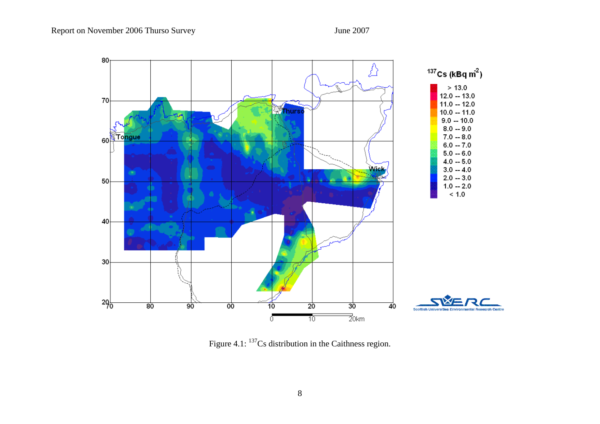

Figure 4.1: <sup>137</sup>Cs distribution in the Caithness region.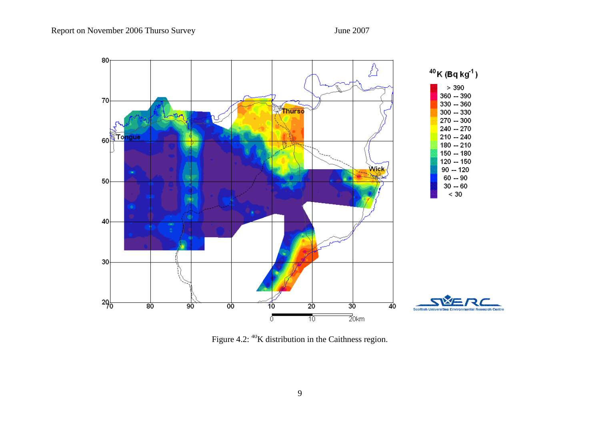

Figure 4.2: <sup>40</sup>K distribution in the Caithness region.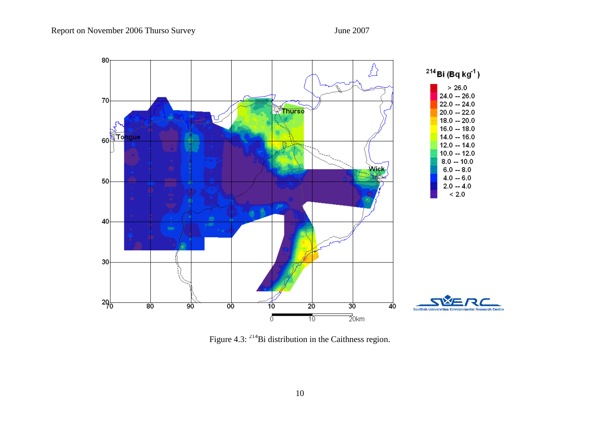

Figure 4.3: <sup>214</sup>Bi distribution in the Caithness region.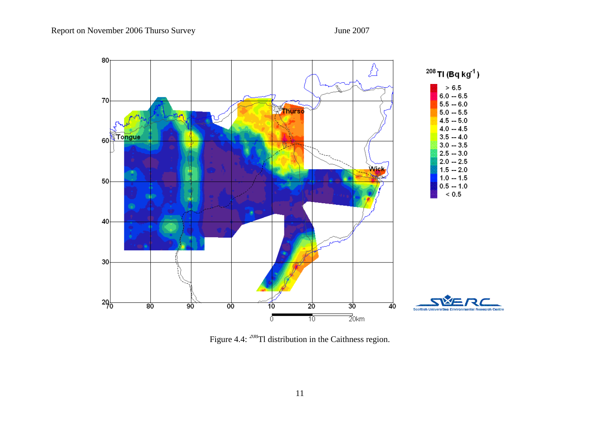

Figure 4.4: <sup>208</sup>Tl distribution in the Caithness region.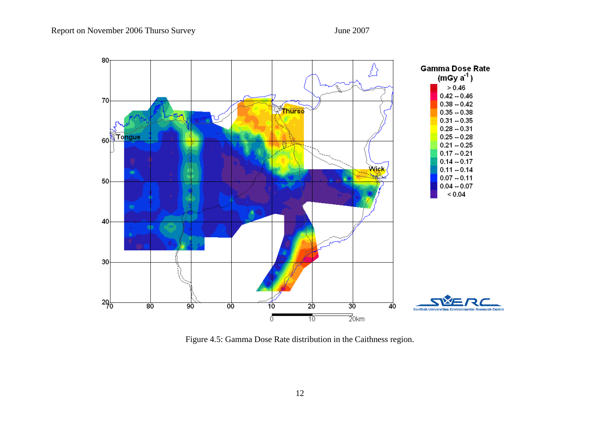

Figure 4.5: Gamma Dose Rate distribution in the Caithness region.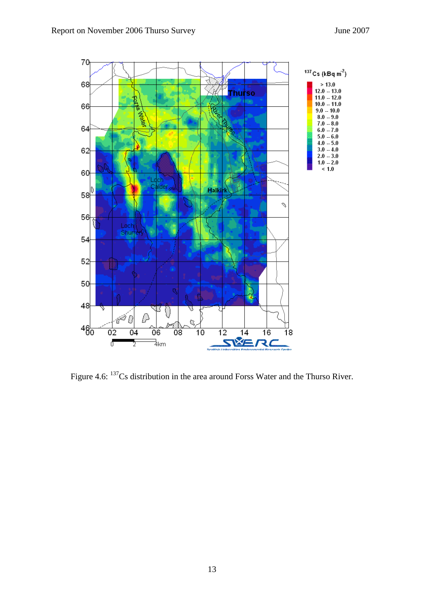

Figure 4.6: <sup>137</sup>Cs distribution in the area around Forss Water and the Thurso River.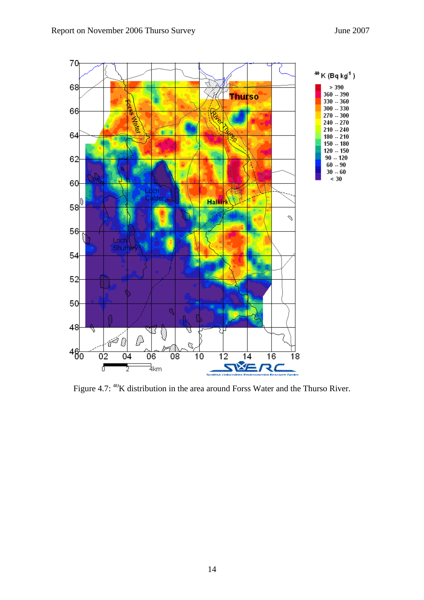

Figure 4.7: <sup>40</sup>K distribution in the area around Forss Water and the Thurso River.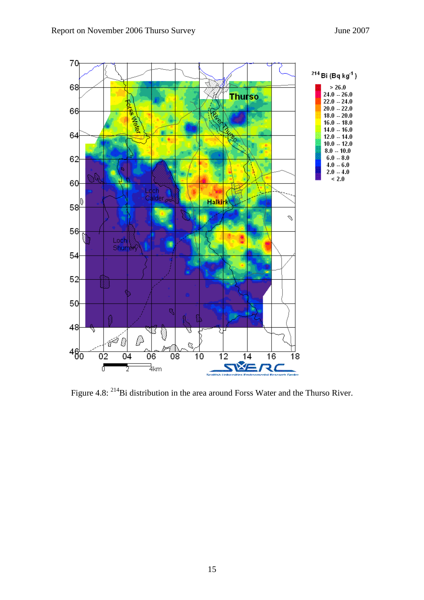

Figure 4.8: <sup>214</sup>Bi distribution in the area around Forss Water and the Thurso River.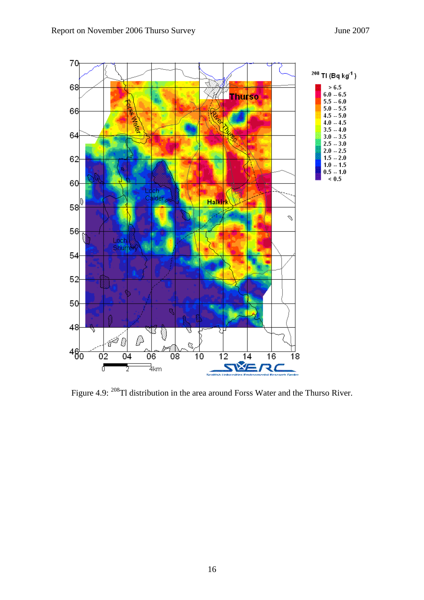

Figure 4.9: <sup>208</sup>Tl distribution in the area around Forss Water and the Thurso River.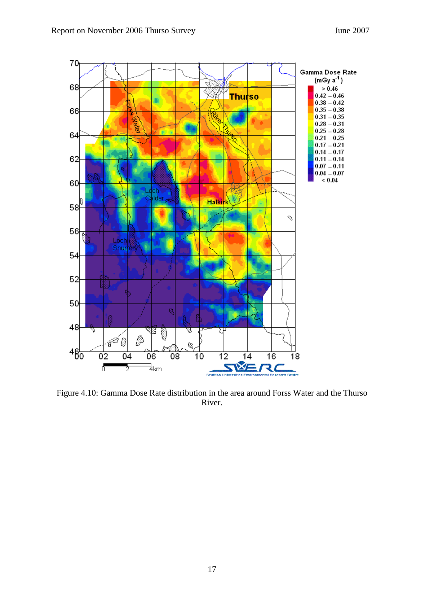

Figure 4.10: Gamma Dose Rate distribution in the area around Forss Water and the Thurso River.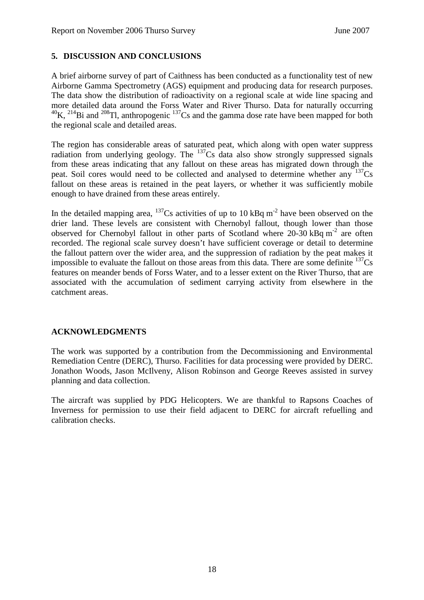### **5. DISCUSSION AND CONCLUSIONS**

A brief airborne survey of part of Caithness has been conducted as a functionality test of new Airborne Gamma Spectrometry (AGS) equipment and producing data for research purposes. The data show the distribution of radioactivity on a regional scale at wide line spacing and more detailed data around the Forss Water and River Thurso. Data for naturally occurring  $^{40}$ K, <sup>214</sup>Bi and <sup>208</sup>Tl, anthropogenic <sup>137</sup>Cs and the gamma dose rate have been mapped for both the regional scale and detailed areas.

The region has considerable areas of saturated peat, which along with open water suppress radiation from underlying geology. The  $^{137}Cs$  data also show strongly suppressed signals from these areas indicating that any fallout on these areas has migrated down through the peat. Soil cores would need to be collected and analysed to determine whether any  $137Cs$ fallout on these areas is retained in the peat layers, or whether it was sufficiently mobile enough to have drained from these areas entirely.

In the detailed mapping area,  $^{137}Cs$  activities of up to 10 kBq m<sup>-2</sup> have been observed on the drier land. These levels are consistent with Chernobyl fallout, though lower than those observed for Chernobyl fallout in other parts of Scotland where  $20-30$  kBq m<sup>-2</sup> are often recorded. The regional scale survey doesn't have sufficient coverage or detail to determine the fallout pattern over the wider area, and the suppression of radiation by the peat makes it impossible to evaluate the fallout on those areas from this data. There are some definite  $^{137}Cs$ features on meander bends of Forss Water, and to a lesser extent on the River Thurso, that are associated with the accumulation of sediment carrying activity from elsewhere in the catchment areas.

#### **ACKNOWLEDGMENTS**

The work was supported by a contribution from the Decommissioning and Environmental Remediation Centre (DERC), Thurso. Facilities for data processing were provided by DERC. Jonathon Woods, Jason McIlveny, Alison Robinson and George Reeves assisted in survey planning and data collection.

The aircraft was supplied by PDG Helicopters. We are thankful to Rapsons Coaches of Inverness for permission to use their field adjacent to DERC for aircraft refuelling and calibration checks.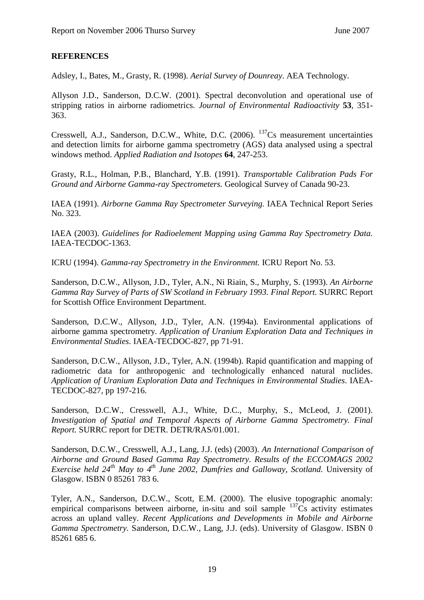#### **REFERENCES**

Adsley, I., Bates, M., Grasty, R. (1998). *Aerial Survey of Dounreay*. AEA Technology.

Allyson J.D., Sanderson, D.C.W. (2001). Spectral deconvolution and operational use of stripping ratios in airborne radiometrics. *Journal of Environmental Radioactivity* **53**, 351- 363.

Cresswell, A.J., Sanderson, D.C.W., White, D.C. (2006). <sup>137</sup>Cs measurement uncertainties and detection limits for airborne gamma spectrometry (AGS) data analysed using a spectral windows method. *Applied Radiation and Isotopes* **64**, 247-253.

Grasty, R.L., Holman, P.B., Blanchard, Y.B. (1991). *Transportable Calibration Pads For Ground and Airborne Gamma-ray Spectrometers.* Geological Survey of Canada 90-23.

IAEA (1991). *Airborne Gamma Ray Spectrometer Surveying.* IAEA Technical Report Series No. 323.

IAEA (2003). *Guidelines for Radioelement Mapping using Gamma Ray Spectrometry Data.*  IAEA-TECDOC-1363.

ICRU (1994). *Gamma-ray Spectrometry in the Environment.* ICRU Report No. 53.

Sanderson, D.C.W., Allyson, J.D., Tyler, A.N., Ni Riain, S., Murphy, S. (1993). *An Airborne Gamma Ray Survey of Parts of SW Scotland in February 1993. Final Report.* SURRC Report for Scottish Office Environment Department.

Sanderson, D.C.W., Allyson, J.D., Tyler, A.N. (1994a). Environmental applications of airborne gamma spectrometry. *Application of Uranium Exploration Data and Techniques in Environmental Studies*. IAEA-TECDOC-827, pp 71-91.

Sanderson, D.C.W., Allyson, J.D., Tyler, A.N. (1994b). Rapid quantification and mapping of radiometric data for anthropogenic and technologically enhanced natural nuclides. *Application of Uranium Exploration Data and Techniques in Environmental Studies*. IAEA-TECDOC-827, pp 197-216.

Sanderson, D.C.W., Cresswell, A.J., White, D.C., Murphy, S., McLeod, J. (2001). *Investigation of Spatial and Temporal Aspects of Airborne Gamma Spectrometry. Final Report.* SURRC report for DETR. DETR/RAS/01.001.

Sanderson, D.C.W., Cresswell, A.J., Lang, J.J. (eds) (2003). *An International Comparison of Airborne and Ground Based Gamma Ray Spectrometry. Results of the ECCOMAGS 2002 Exercise held 24th May to 4th June 2002, Dumfries and Galloway, Scotland.* University of Glasgow. ISBN 0 85261 783 6.

Tyler, A.N., Sanderson, D.C.W., Scott, E.M. (2000). The elusive topographic anomaly: empirical comparisons between airborne, in-situ and soil sample  $137\text{Cs}$  activity estimates across an upland valley. *Recent Applications and Developments in Mobile and Airborne Gamma Spectrometry.* Sanderson, D.C.W., Lang, J.J. (eds). University of Glasgow. ISBN 0 85261 685 6.